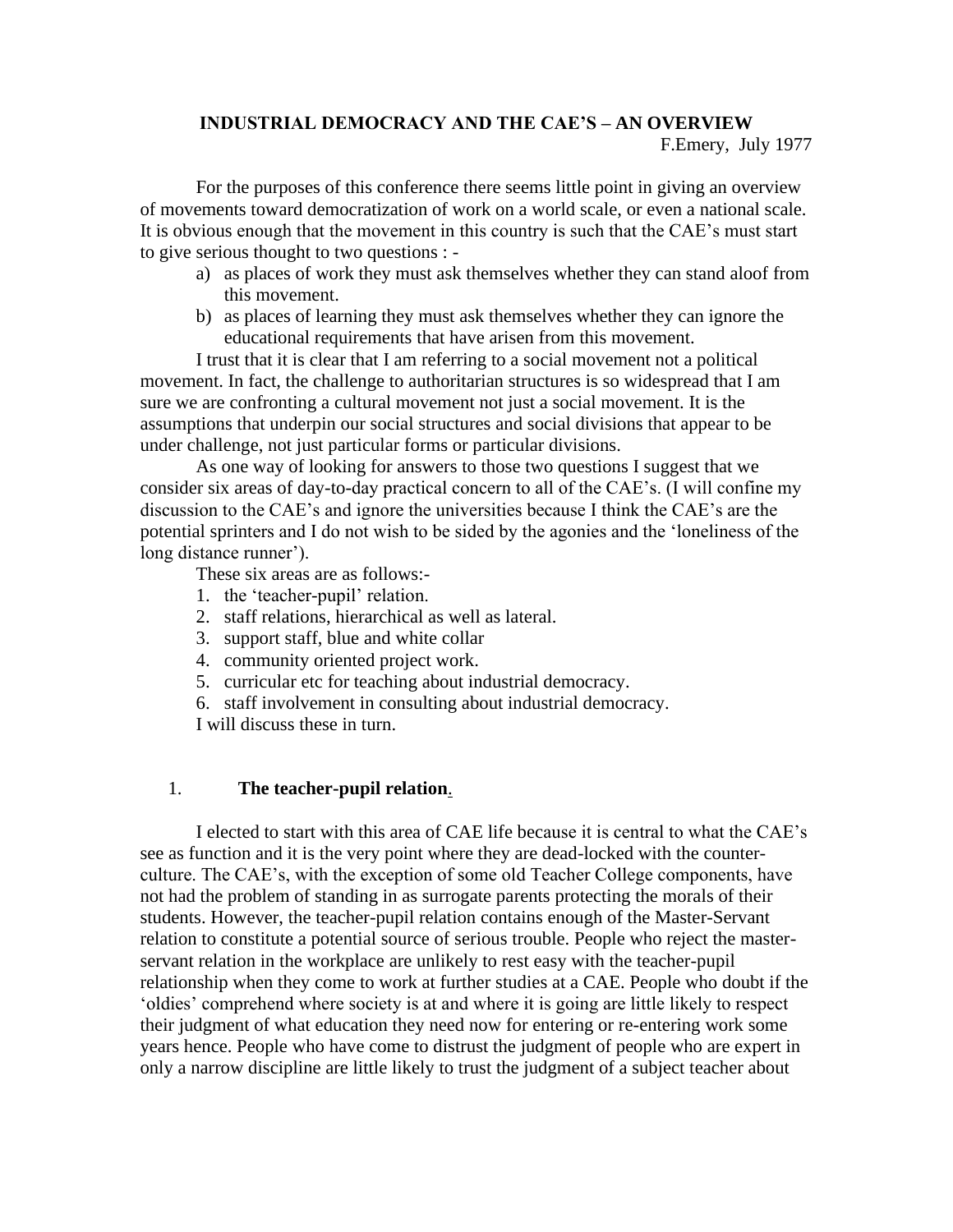# **INDUSTRIAL DEMOCRACY AND THE CAE'S – AN OVERVIEW**

## F.Emery, July 1977

For the purposes of this conference there seems little point in giving an overview of movements toward democratization of work on a world scale, or even a national scale. It is obvious enough that the movement in this country is such that the CAE's must start to give serious thought to two questions : -

- a) as places of work they must ask themselves whether they can stand aloof from this movement.
- b) as places of learning they must ask themselves whether they can ignore the educational requirements that have arisen from this movement.

I trust that it is clear that I am referring to a social movement not a political movement. In fact, the challenge to authoritarian structures is so widespread that I am sure we are confronting a cultural movement not just a social movement. It is the assumptions that underpin our social structures and social divisions that appear to be under challenge, not just particular forms or particular divisions.

As one way of looking for answers to those two questions I suggest that we consider six areas of day-to-day practical concern to all of the CAE's. (I will confine my discussion to the CAE's and ignore the universities because I think the CAE's are the potential sprinters and I do not wish to be sided by the agonies and the 'loneliness of the long distance runner').

These six areas are as follows:-

- 1. the 'teacher-pupil' relation.
- 2. staff relations, hierarchical as well as lateral.
- 3. support staff, blue and white collar
- 4. community oriented project work.
- 5. curricular etc for teaching about industrial democracy.
- 6. staff involvement in consulting about industrial democracy.
- I will discuss these in turn.

# 1. **The teacher-pupil relation**.

I elected to start with this area of CAE life because it is central to what the CAE's see as function and it is the very point where they are dead-locked with the counterculture. The CAE's, with the exception of some old Teacher College components, have not had the problem of standing in as surrogate parents protecting the morals of their students. However, the teacher-pupil relation contains enough of the Master-Servant relation to constitute a potential source of serious trouble. People who reject the masterservant relation in the workplace are unlikely to rest easy with the teacher-pupil relationship when they come to work at further studies at a CAE. People who doubt if the 'oldies' comprehend where society is at and where it is going are little likely to respect their judgment of what education they need now for entering or re-entering work some years hence. People who have come to distrust the judgment of people who are expert in only a narrow discipline are little likely to trust the judgment of a subject teacher about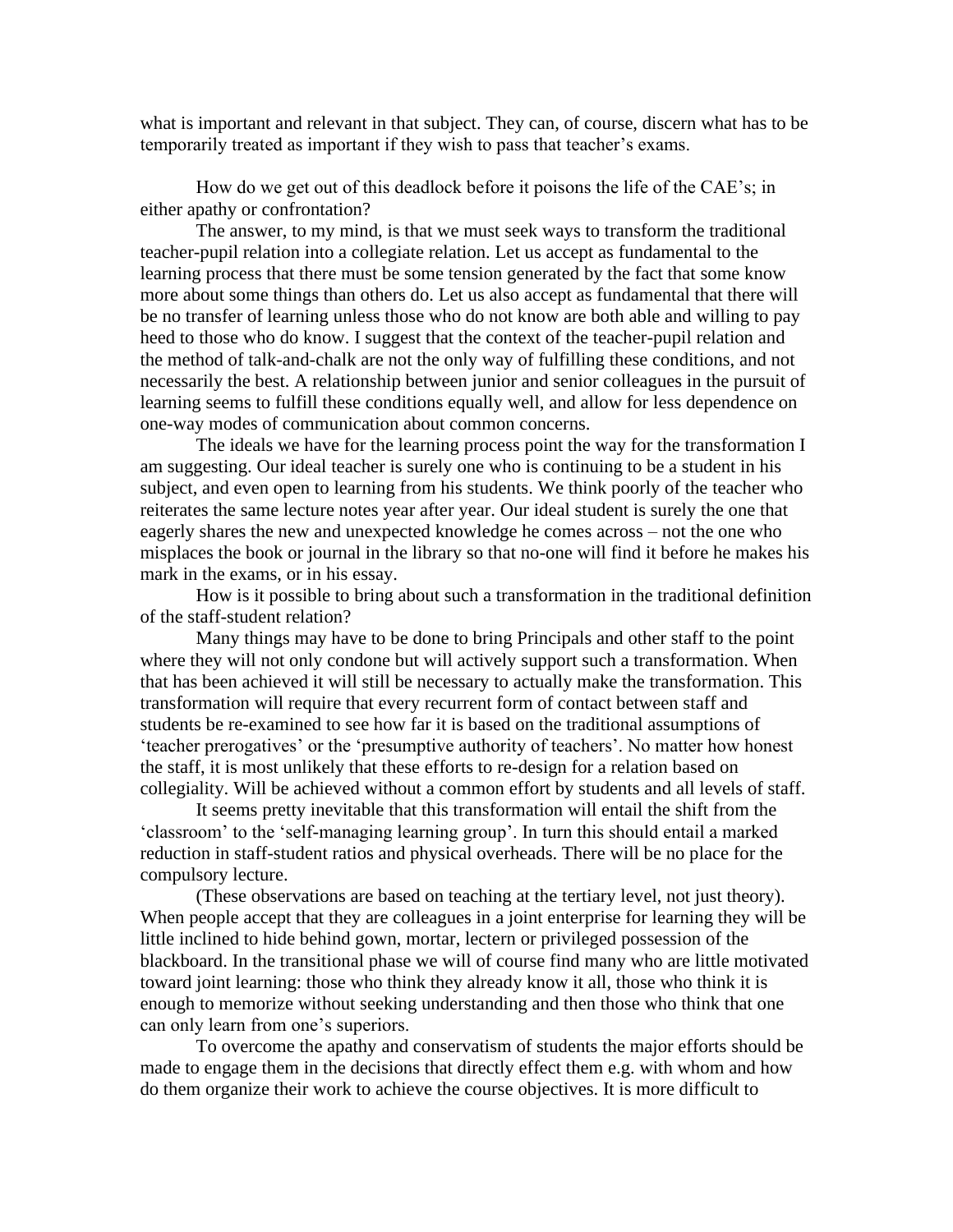what is important and relevant in that subject. They can, of course, discern what has to be temporarily treated as important if they wish to pass that teacher's exams.

How do we get out of this deadlock before it poisons the life of the CAE's; in either apathy or confrontation?

The answer, to my mind, is that we must seek ways to transform the traditional teacher-pupil relation into a collegiate relation. Let us accept as fundamental to the learning process that there must be some tension generated by the fact that some know more about some things than others do. Let us also accept as fundamental that there will be no transfer of learning unless those who do not know are both able and willing to pay heed to those who do know. I suggest that the context of the teacher-pupil relation and the method of talk-and-chalk are not the only way of fulfilling these conditions, and not necessarily the best. A relationship between junior and senior colleagues in the pursuit of learning seems to fulfill these conditions equally well, and allow for less dependence on one-way modes of communication about common concerns.

The ideals we have for the learning process point the way for the transformation I am suggesting. Our ideal teacher is surely one who is continuing to be a student in his subject, and even open to learning from his students. We think poorly of the teacher who reiterates the same lecture notes year after year. Our ideal student is surely the one that eagerly shares the new and unexpected knowledge he comes across – not the one who misplaces the book or journal in the library so that no-one will find it before he makes his mark in the exams, or in his essay.

How is it possible to bring about such a transformation in the traditional definition of the staff-student relation?

Many things may have to be done to bring Principals and other staff to the point where they will not only condone but will actively support such a transformation. When that has been achieved it will still be necessary to actually make the transformation. This transformation will require that every recurrent form of contact between staff and students be re-examined to see how far it is based on the traditional assumptions of 'teacher prerogatives' or the 'presumptive authority of teachers'. No matter how honest the staff, it is most unlikely that these efforts to re-design for a relation based on collegiality. Will be achieved without a common effort by students and all levels of staff.

It seems pretty inevitable that this transformation will entail the shift from the 'classroom' to the 'self-managing learning group'. In turn this should entail a marked reduction in staff-student ratios and physical overheads. There will be no place for the compulsory lecture.

(These observations are based on teaching at the tertiary level, not just theory). When people accept that they are colleagues in a joint enterprise for learning they will be little inclined to hide behind gown, mortar, lectern or privileged possession of the blackboard. In the transitional phase we will of course find many who are little motivated toward joint learning: those who think they already know it all, those who think it is enough to memorize without seeking understanding and then those who think that one can only learn from one's superiors.

To overcome the apathy and conservatism of students the major efforts should be made to engage them in the decisions that directly effect them e.g. with whom and how do them organize their work to achieve the course objectives. It is more difficult to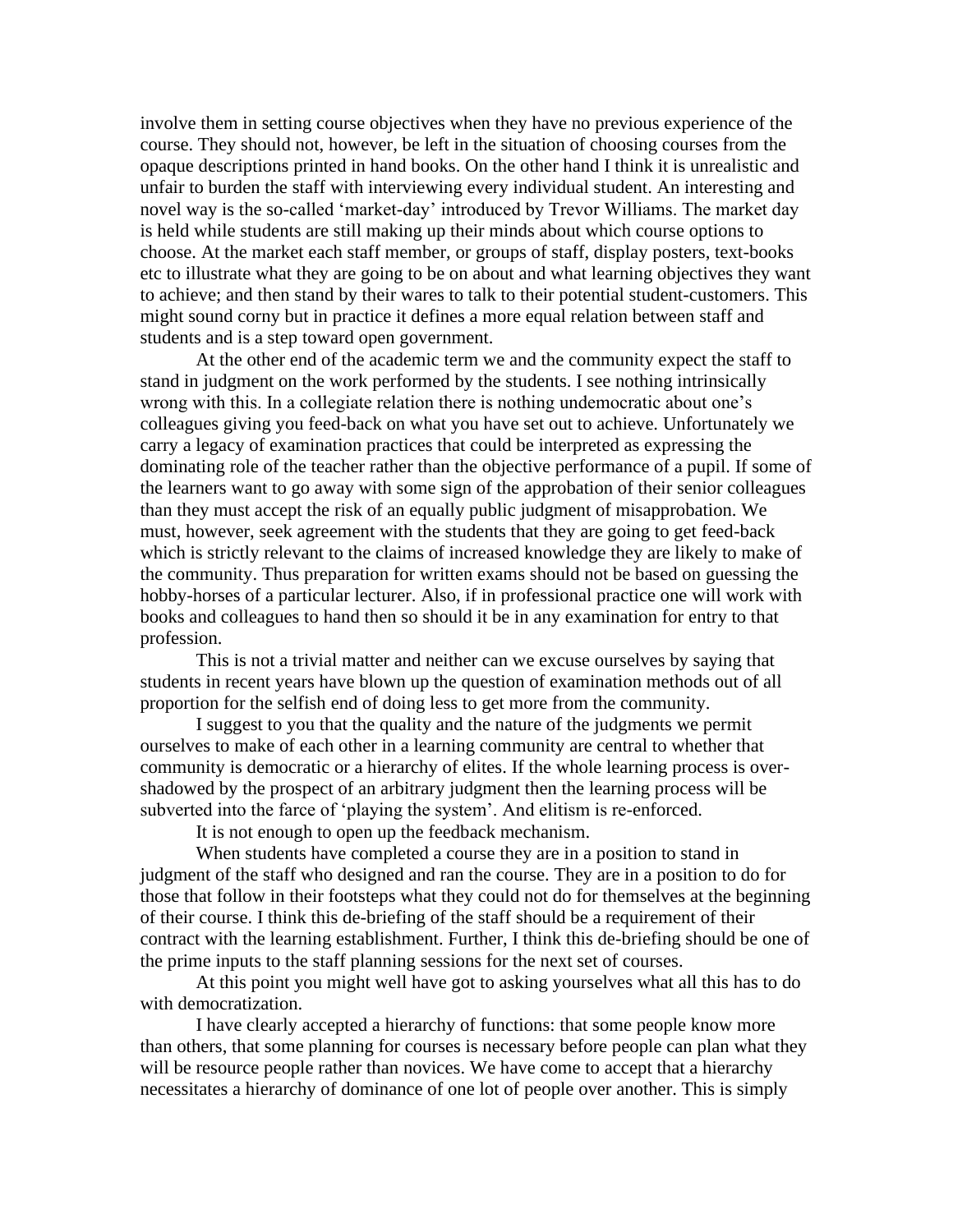involve them in setting course objectives when they have no previous experience of the course. They should not, however, be left in the situation of choosing courses from the opaque descriptions printed in hand books. On the other hand I think it is unrealistic and unfair to burden the staff with interviewing every individual student. An interesting and novel way is the so-called 'market-day' introduced by Trevor Williams. The market day is held while students are still making up their minds about which course options to choose. At the market each staff member, or groups of staff, display posters, text-books etc to illustrate what they are going to be on about and what learning objectives they want to achieve; and then stand by their wares to talk to their potential student-customers. This might sound corny but in practice it defines a more equal relation between staff and students and is a step toward open government.

At the other end of the academic term we and the community expect the staff to stand in judgment on the work performed by the students. I see nothing intrinsically wrong with this. In a collegiate relation there is nothing undemocratic about one's colleagues giving you feed-back on what you have set out to achieve. Unfortunately we carry a legacy of examination practices that could be interpreted as expressing the dominating role of the teacher rather than the objective performance of a pupil. If some of the learners want to go away with some sign of the approbation of their senior colleagues than they must accept the risk of an equally public judgment of misapprobation. We must, however, seek agreement with the students that they are going to get feed-back which is strictly relevant to the claims of increased knowledge they are likely to make of the community. Thus preparation for written exams should not be based on guessing the hobby-horses of a particular lecturer. Also, if in professional practice one will work with books and colleagues to hand then so should it be in any examination for entry to that profession.

This is not a trivial matter and neither can we excuse ourselves by saying that students in recent years have blown up the question of examination methods out of all proportion for the selfish end of doing less to get more from the community.

I suggest to you that the quality and the nature of the judgments we permit ourselves to make of each other in a learning community are central to whether that community is democratic or a hierarchy of elites. If the whole learning process is overshadowed by the prospect of an arbitrary judgment then the learning process will be subverted into the farce of 'playing the system'. And elitism is re-enforced.

It is not enough to open up the feedback mechanism.

When students have completed a course they are in a position to stand in judgment of the staff who designed and ran the course. They are in a position to do for those that follow in their footsteps what they could not do for themselves at the beginning of their course. I think this de-briefing of the staff should be a requirement of their contract with the learning establishment. Further, I think this de-briefing should be one of the prime inputs to the staff planning sessions for the next set of courses.

At this point you might well have got to asking yourselves what all this has to do with democratization.

I have clearly accepted a hierarchy of functions: that some people know more than others, that some planning for courses is necessary before people can plan what they will be resource people rather than novices. We have come to accept that a hierarchy necessitates a hierarchy of dominance of one lot of people over another. This is simply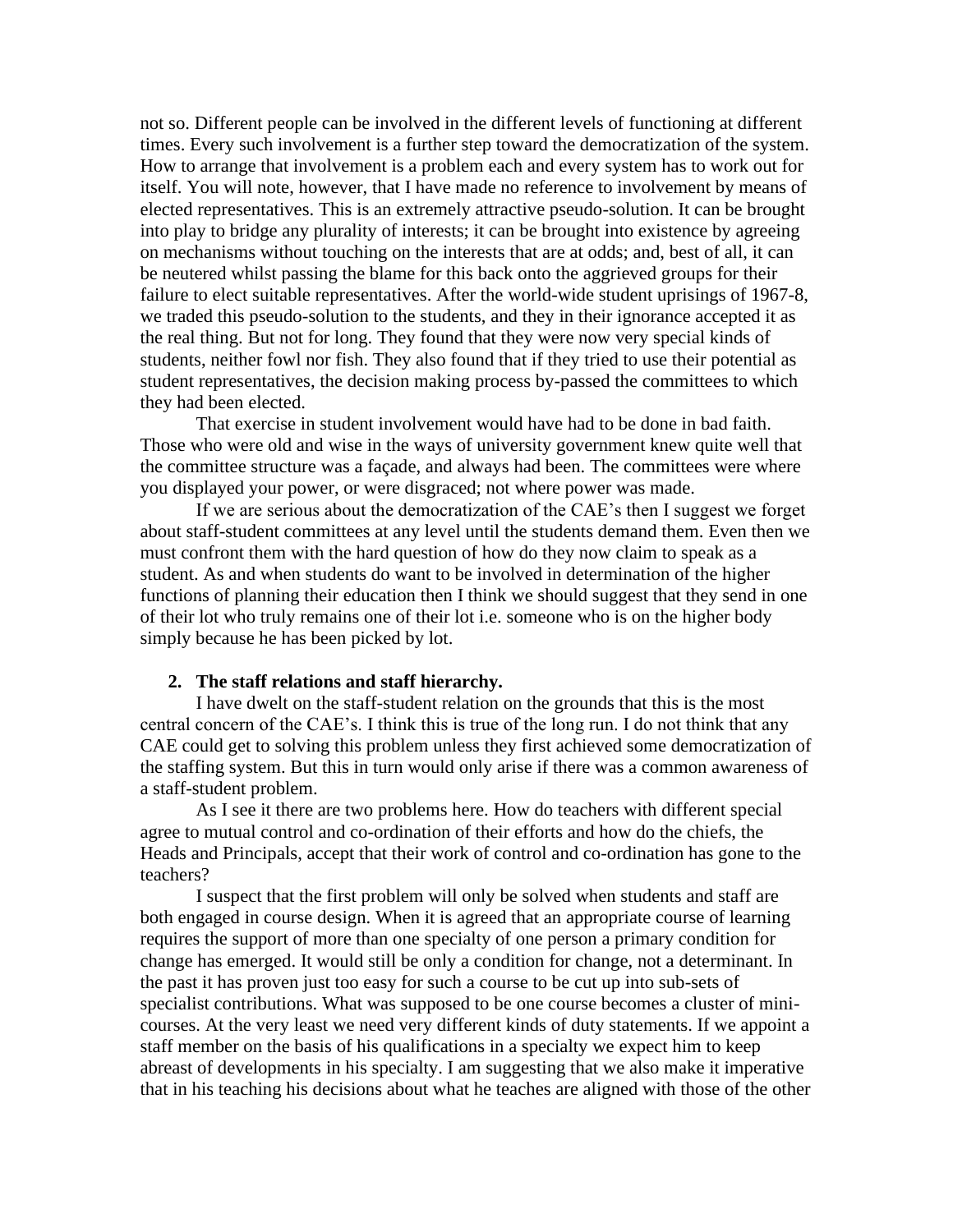not so. Different people can be involved in the different levels of functioning at different times. Every such involvement is a further step toward the democratization of the system. How to arrange that involvement is a problem each and every system has to work out for itself. You will note, however, that I have made no reference to involvement by means of elected representatives. This is an extremely attractive pseudo-solution. It can be brought into play to bridge any plurality of interests; it can be brought into existence by agreeing on mechanisms without touching on the interests that are at odds; and, best of all, it can be neutered whilst passing the blame for this back onto the aggrieved groups for their failure to elect suitable representatives. After the world-wide student uprisings of 1967-8, we traded this pseudo-solution to the students, and they in their ignorance accepted it as the real thing. But not for long. They found that they were now very special kinds of students, neither fowl nor fish. They also found that if they tried to use their potential as student representatives, the decision making process by-passed the committees to which they had been elected.

That exercise in student involvement would have had to be done in bad faith. Those who were old and wise in the ways of university government knew quite well that the committee structure was a façade, and always had been. The committees were where you displayed your power, or were disgraced; not where power was made.

If we are serious about the democratization of the CAE's then I suggest we forget about staff-student committees at any level until the students demand them. Even then we must confront them with the hard question of how do they now claim to speak as a student. As and when students do want to be involved in determination of the higher functions of planning their education then I think we should suggest that they send in one of their lot who truly remains one of their lot i.e. someone who is on the higher body simply because he has been picked by lot.

#### **2. The staff relations and staff hierarchy.**

I have dwelt on the staff-student relation on the grounds that this is the most central concern of the CAE's. I think this is true of the long run. I do not think that any CAE could get to solving this problem unless they first achieved some democratization of the staffing system. But this in turn would only arise if there was a common awareness of a staff-student problem.

As I see it there are two problems here. How do teachers with different special agree to mutual control and co-ordination of their efforts and how do the chiefs, the Heads and Principals, accept that their work of control and co-ordination has gone to the teachers?

I suspect that the first problem will only be solved when students and staff are both engaged in course design. When it is agreed that an appropriate course of learning requires the support of more than one specialty of one person a primary condition for change has emerged. It would still be only a condition for change, not a determinant. In the past it has proven just too easy for such a course to be cut up into sub-sets of specialist contributions. What was supposed to be one course becomes a cluster of minicourses. At the very least we need very different kinds of duty statements. If we appoint a staff member on the basis of his qualifications in a specialty we expect him to keep abreast of developments in his specialty. I am suggesting that we also make it imperative that in his teaching his decisions about what he teaches are aligned with those of the other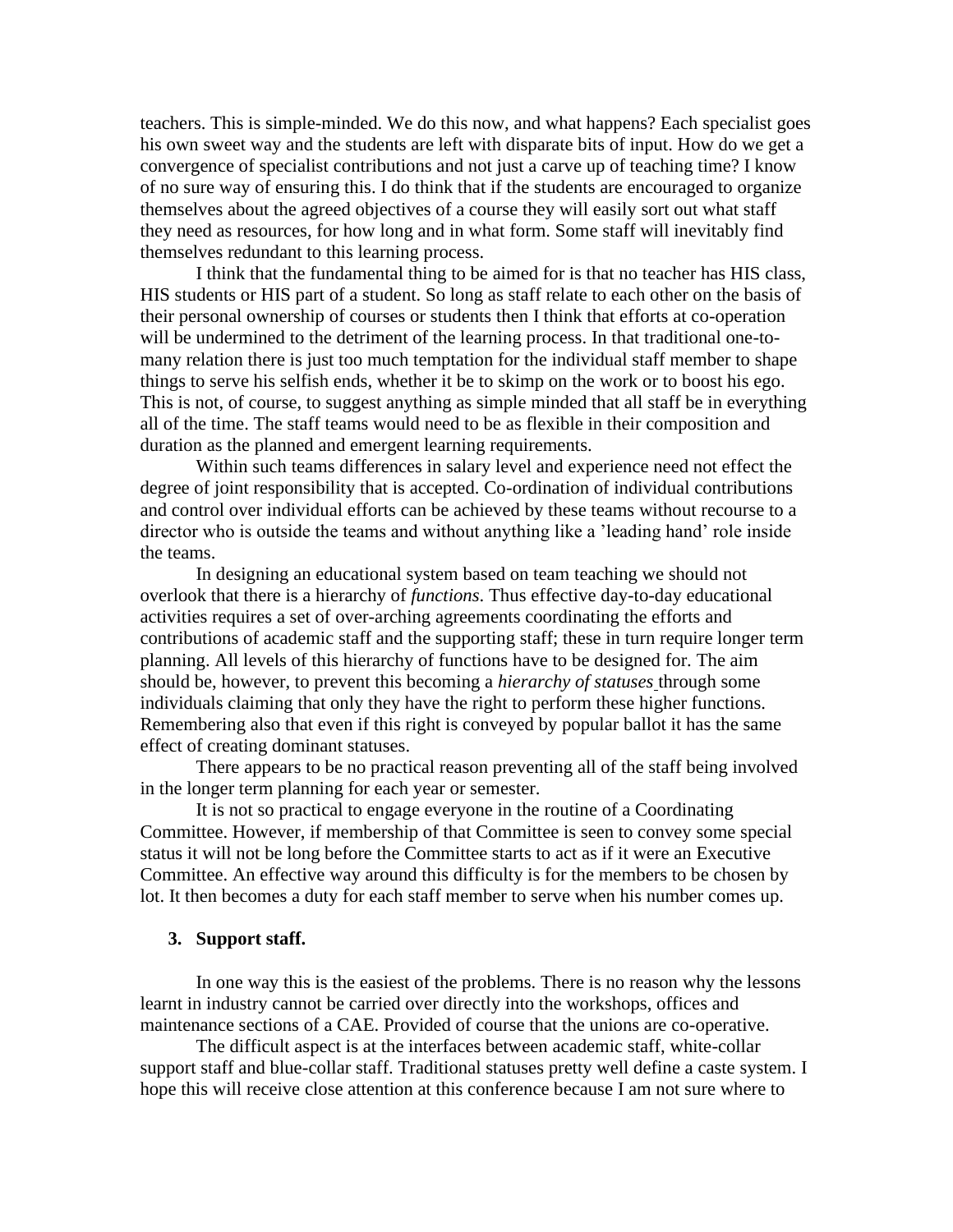teachers. This is simple-minded. We do this now, and what happens? Each specialist goes his own sweet way and the students are left with disparate bits of input. How do we get a convergence of specialist contributions and not just a carve up of teaching time? I know of no sure way of ensuring this. I do think that if the students are encouraged to organize themselves about the agreed objectives of a course they will easily sort out what staff they need as resources, for how long and in what form. Some staff will inevitably find themselves redundant to this learning process.

I think that the fundamental thing to be aimed for is that no teacher has HIS class, HIS students or HIS part of a student. So long as staff relate to each other on the basis of their personal ownership of courses or students then I think that efforts at co-operation will be undermined to the detriment of the learning process. In that traditional one-tomany relation there is just too much temptation for the individual staff member to shape things to serve his selfish ends, whether it be to skimp on the work or to boost his ego. This is not, of course, to suggest anything as simple minded that all staff be in everything all of the time. The staff teams would need to be as flexible in their composition and duration as the planned and emergent learning requirements.

Within such teams differences in salary level and experience need not effect the degree of joint responsibility that is accepted. Co-ordination of individual contributions and control over individual efforts can be achieved by these teams without recourse to a director who is outside the teams and without anything like a 'leading hand' role inside the teams.

In designing an educational system based on team teaching we should not overlook that there is a hierarchy of *functions*. Thus effective day-to-day educational activities requires a set of over-arching agreements coordinating the efforts and contributions of academic staff and the supporting staff; these in turn require longer term planning. All levels of this hierarchy of functions have to be designed for. The aim should be, however, to prevent this becoming a *hierarchy of statuses* through some individuals claiming that only they have the right to perform these higher functions. Remembering also that even if this right is conveyed by popular ballot it has the same effect of creating dominant statuses.

There appears to be no practical reason preventing all of the staff being involved in the longer term planning for each year or semester.

It is not so practical to engage everyone in the routine of a Coordinating Committee. However, if membership of that Committee is seen to convey some special status it will not be long before the Committee starts to act as if it were an Executive Committee. An effective way around this difficulty is for the members to be chosen by lot. It then becomes a duty for each staff member to serve when his number comes up.

#### **3. Support staff.**

In one way this is the easiest of the problems. There is no reason why the lessons learnt in industry cannot be carried over directly into the workshops, offices and maintenance sections of a CAE. Provided of course that the unions are co-operative.

The difficult aspect is at the interfaces between academic staff, white-collar support staff and blue-collar staff. Traditional statuses pretty well define a caste system. I hope this will receive close attention at this conference because I am not sure where to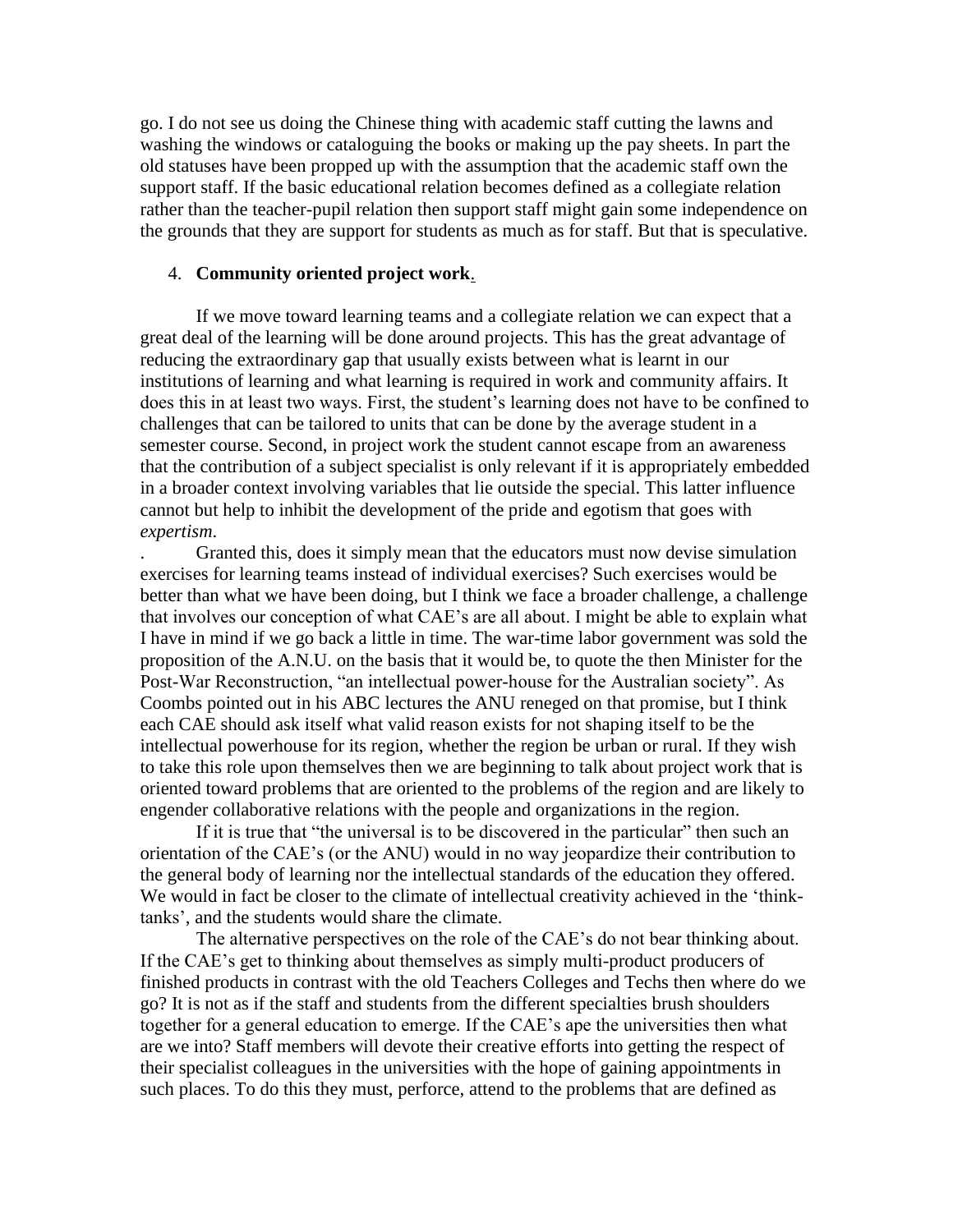go. I do not see us doing the Chinese thing with academic staff cutting the lawns and washing the windows or cataloguing the books or making up the pay sheets. In part the old statuses have been propped up with the assumption that the academic staff own the support staff. If the basic educational relation becomes defined as a collegiate relation rather than the teacher-pupil relation then support staff might gain some independence on the grounds that they are support for students as much as for staff. But that is speculative.

#### 4. **Community oriented project work**.

If we move toward learning teams and a collegiate relation we can expect that a great deal of the learning will be done around projects. This has the great advantage of reducing the extraordinary gap that usually exists between what is learnt in our institutions of learning and what learning is required in work and community affairs. It does this in at least two ways. First, the student's learning does not have to be confined to challenges that can be tailored to units that can be done by the average student in a semester course. Second, in project work the student cannot escape from an awareness that the contribution of a subject specialist is only relevant if it is appropriately embedded in a broader context involving variables that lie outside the special. This latter influence cannot but help to inhibit the development of the pride and egotism that goes with *expertism*.

. Granted this, does it simply mean that the educators must now devise simulation exercises for learning teams instead of individual exercises? Such exercises would be better than what we have been doing, but I think we face a broader challenge, a challenge that involves our conception of what CAE's are all about. I might be able to explain what I have in mind if we go back a little in time. The war-time labor government was sold the proposition of the A.N.U. on the basis that it would be, to quote the then Minister for the Post-War Reconstruction, "an intellectual power-house for the Australian society". As Coombs pointed out in his ABC lectures the ANU reneged on that promise, but I think each CAE should ask itself what valid reason exists for not shaping itself to be the intellectual powerhouse for its region, whether the region be urban or rural. If they wish to take this role upon themselves then we are beginning to talk about project work that is oriented toward problems that are oriented to the problems of the region and are likely to engender collaborative relations with the people and organizations in the region.

If it is true that "the universal is to be discovered in the particular" then such an orientation of the CAE's (or the ANU) would in no way jeopardize their contribution to the general body of learning nor the intellectual standards of the education they offered. We would in fact be closer to the climate of intellectual creativity achieved in the 'thinktanks', and the students would share the climate.

The alternative perspectives on the role of the CAE's do not bear thinking about. If the CAE's get to thinking about themselves as simply multi-product producers of finished products in contrast with the old Teachers Colleges and Techs then where do we go? It is not as if the staff and students from the different specialties brush shoulders together for a general education to emerge. If the CAE's ape the universities then what are we into? Staff members will devote their creative efforts into getting the respect of their specialist colleagues in the universities with the hope of gaining appointments in such places. To do this they must, perforce, attend to the problems that are defined as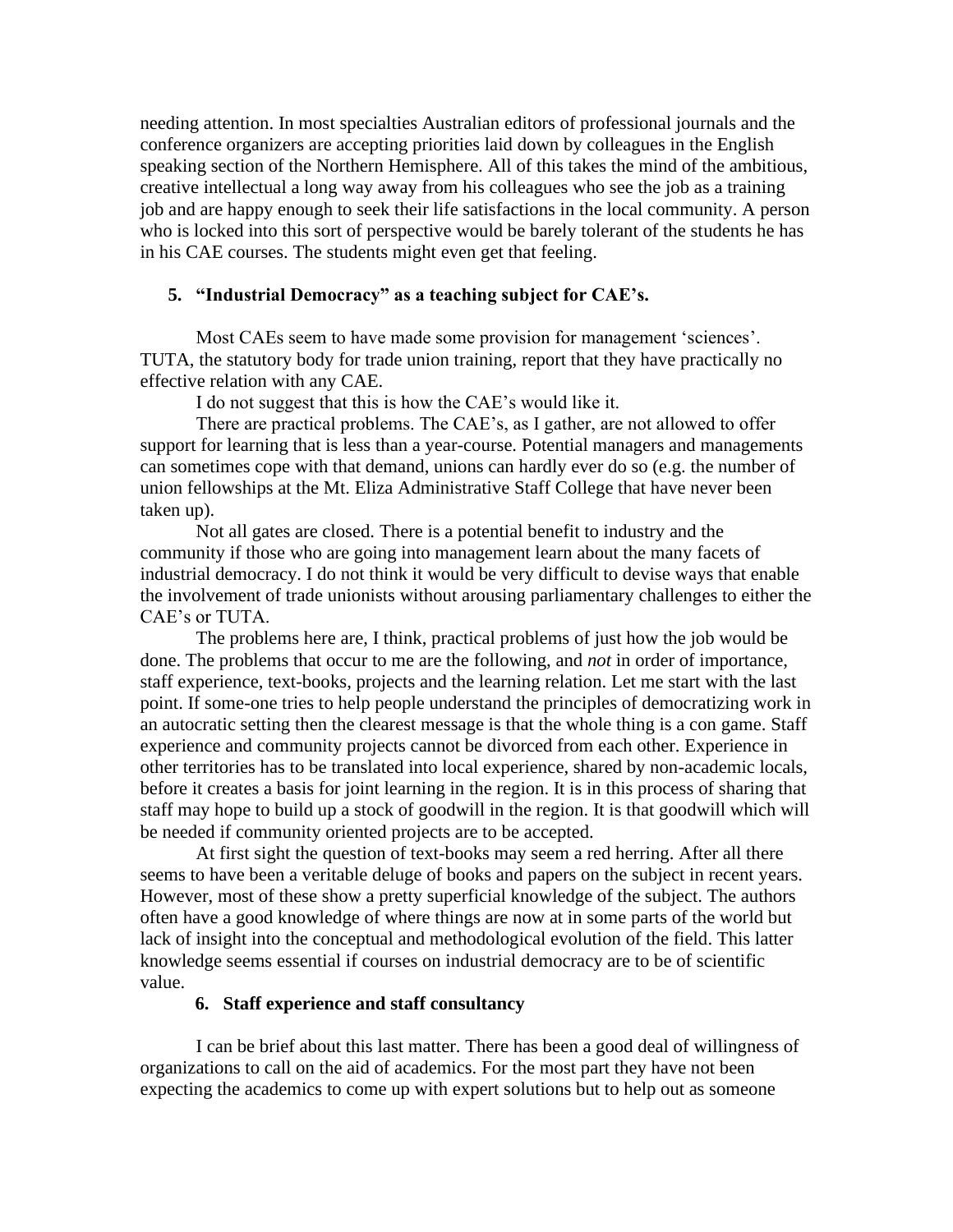needing attention. In most specialties Australian editors of professional journals and the conference organizers are accepting priorities laid down by colleagues in the English speaking section of the Northern Hemisphere. All of this takes the mind of the ambitious, creative intellectual a long way away from his colleagues who see the job as a training job and are happy enough to seek their life satisfactions in the local community. A person who is locked into this sort of perspective would be barely tolerant of the students he has in his CAE courses. The students might even get that feeling.

# **5. "Industrial Democracy" as a teaching subject for CAE's.**

Most CAEs seem to have made some provision for management 'sciences'. TUTA, the statutory body for trade union training, report that they have practically no effective relation with any CAE.

I do not suggest that this is how the CAE's would like it.

There are practical problems. The CAE's, as I gather, are not allowed to offer support for learning that is less than a year-course. Potential managers and managements can sometimes cope with that demand, unions can hardly ever do so (e.g. the number of union fellowships at the Mt. Eliza Administrative Staff College that have never been taken up).

Not all gates are closed. There is a potential benefit to industry and the community if those who are going into management learn about the many facets of industrial democracy. I do not think it would be very difficult to devise ways that enable the involvement of trade unionists without arousing parliamentary challenges to either the CAE's or TUTA.

The problems here are, I think, practical problems of just how the job would be done. The problems that occur to me are the following, and *not* in order of importance, staff experience, text-books, projects and the learning relation. Let me start with the last point. If some-one tries to help people understand the principles of democratizing work in an autocratic setting then the clearest message is that the whole thing is a con game. Staff experience and community projects cannot be divorced from each other. Experience in other territories has to be translated into local experience, shared by non-academic locals, before it creates a basis for joint learning in the region. It is in this process of sharing that staff may hope to build up a stock of goodwill in the region. It is that goodwill which will be needed if community oriented projects are to be accepted.

At first sight the question of text-books may seem a red herring. After all there seems to have been a veritable deluge of books and papers on the subject in recent years. However, most of these show a pretty superficial knowledge of the subject. The authors often have a good knowledge of where things are now at in some parts of the world but lack of insight into the conceptual and methodological evolution of the field. This latter knowledge seems essential if courses on industrial democracy are to be of scientific value.

## **6. Staff experience and staff consultancy**

I can be brief about this last matter. There has been a good deal of willingness of organizations to call on the aid of academics. For the most part they have not been expecting the academics to come up with expert solutions but to help out as someone